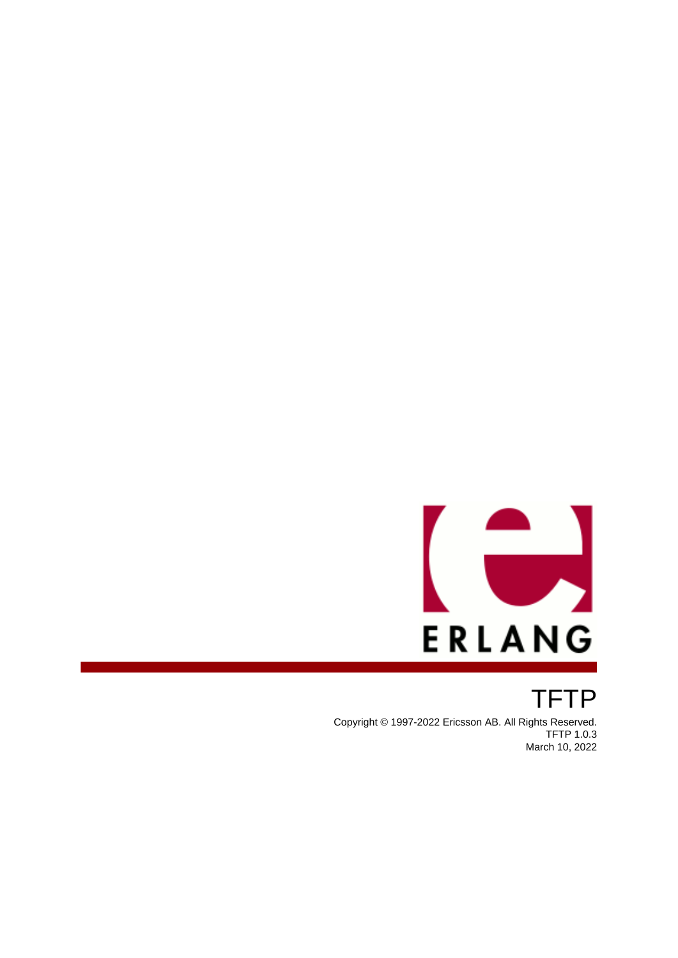

TFTP Copyright © 1997-2022 Ericsson AB. All Rights Reserved. TFTP 1.0.3 March 10, 2022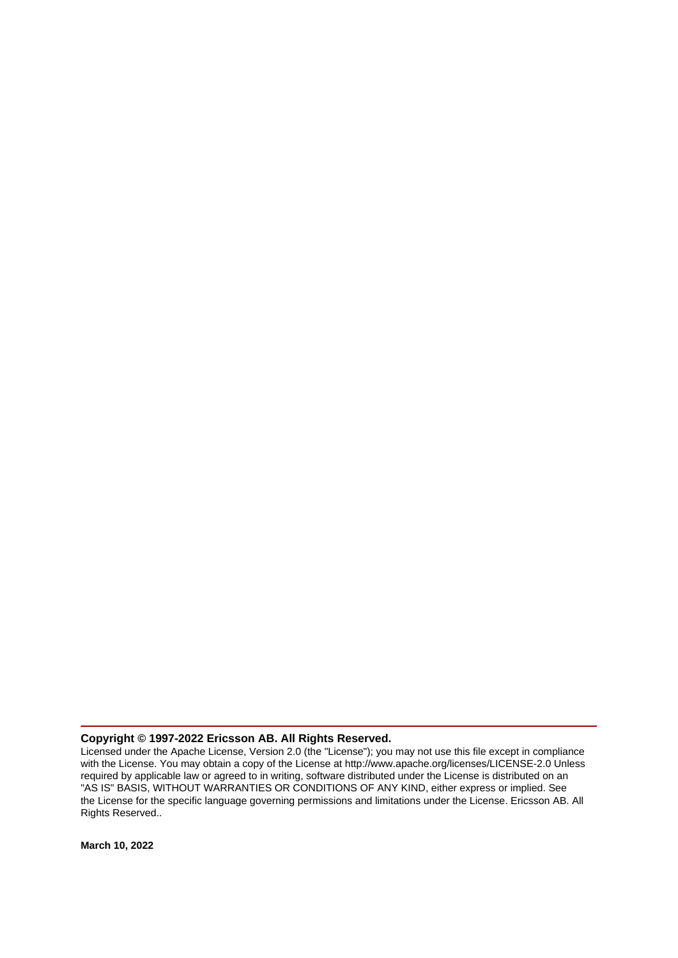#### **Copyright © 1997-2022 Ericsson AB. All Rights Reserved.**

Licensed under the Apache License, Version 2.0 (the "License"); you may not use this file except in compliance with the License. You may obtain a copy of the License at http://www.apache.org/licenses/LICENSE-2.0 Unless required by applicable law or agreed to in writing, software distributed under the License is distributed on an "AS IS" BASIS, WITHOUT WARRANTIES OR CONDITIONS OF ANY KIND, either express or implied. See the License for the specific language governing permissions and limitations under the License. Ericsson AB. All Rights Reserved..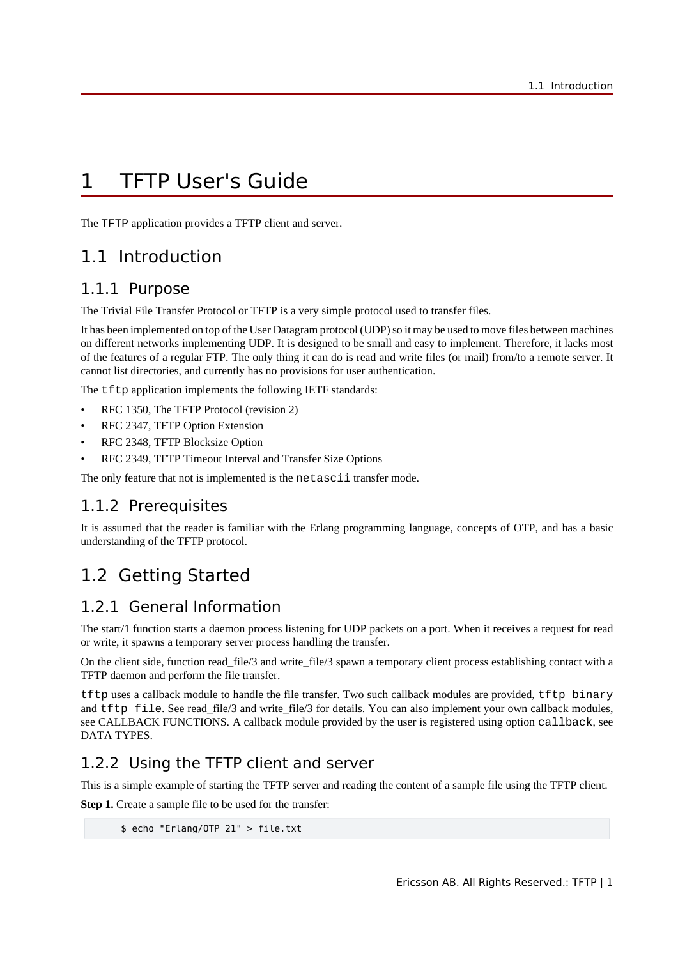## 1 TFTP User's Guide

The TFTP application provides a TFTP client and server.

### 1.1 Introduction

### 1.1.1 Purpose

The Trivial File Transfer Protocol or TFTP is a very simple protocol used to transfer files.

It has been implemented on top of the User Datagram protocol (UDP) so it may be used to move files between machines on different networks implementing UDP. It is designed to be small and easy to implement. Therefore, it lacks most of the features of a regular FTP. The only thing it can do is read and write files (or mail) from/to a remote server. It cannot list directories, and currently has no provisions for user authentication.

The tftp application implements the following IETF standards:

- RFC 1350, The TFTP Protocol (revision 2)
- RFC 2347, TFTP Option Extension
- RFC 2348, TFTP Blocksize Option
- RFC 2349, TFTP Timeout Interval and Transfer Size Options

The only feature that not is implemented is the netascii transfer mode.

### 1.1.2 Prerequisites

It is assumed that the reader is familiar with the Erlang programming language, concepts of OTP, and has a basic understanding of the TFTP protocol.

## 1.2 Getting Started

### 1.2.1 General Information

The start/1 function starts a daemon process listening for UDP packets on a port. When it receives a request for read or write, it spawns a temporary server process handling the transfer.

On the client side, function read\_file/3 and write\_file/3 spawn a temporary client process establishing contact with a TFTP daemon and perform the file transfer.

tftp uses a callback module to handle the file transfer. Two such callback modules are provided, tftp\_binary and tftp file. See read file/3 and write file/3 for details. You can also implement your own callback modules, see CALLBACK FUNCTIONS. A callback module provided by the user is registered using option callback, see DATA TYPES.

### 1.2.2 Using the TFTP client and server

This is a simple example of starting the TFTP server and reading the content of a sample file using the TFTP client.

**Step 1.** Create a sample file to be used for the transfer:

```
 $ echo "Erlang/OTP 21" > file.txt
```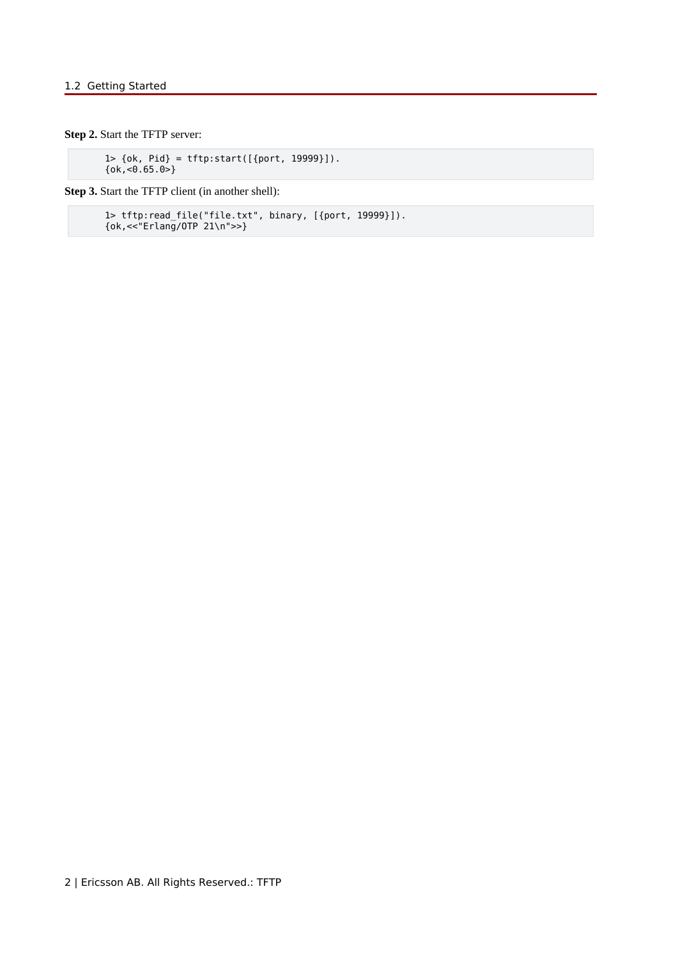**Step 2.** Start the TFTP server:

 1> {ok, Pid} = tftp:start([{port, 19999}]). {ok,<0.65.0>}

**Step 3.** Start the TFTP client (in another shell):

```
 1> tftp:read_file("file.txt", binary, [{port, 19999}]).
 {ok,<<"Erlang/OTP 21\n">>}
```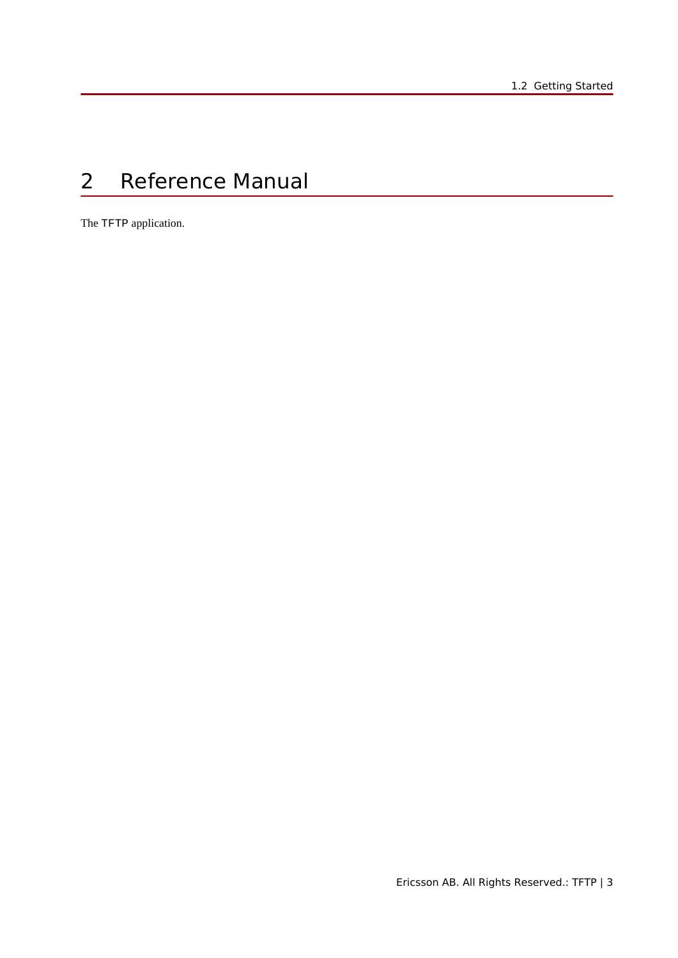# 2 Reference Manual

The TFTP application.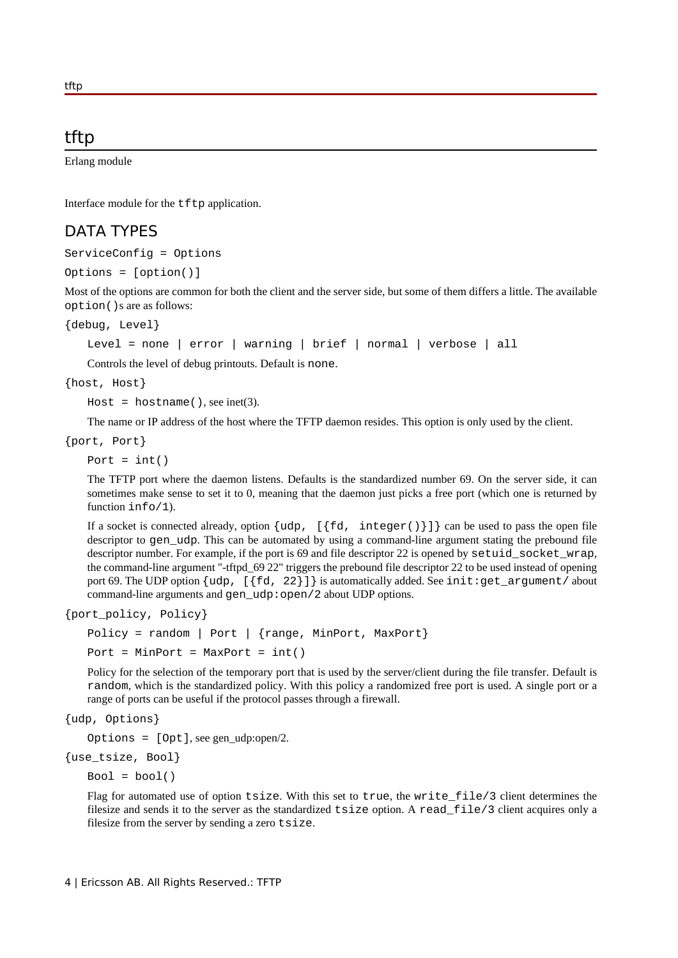### tftp

Erlang module

Interface module for the tftp application.

### DATA TYPES

ServiceConfig = Options

Options = [option()]

Most of the options are common for both the client and the server side, but some of them differs a little. The available option()s are as follows:

{debug, Level}

Level = none | error | warning | brief | normal | verbose | all

Controls the level of debug printouts. Default is none.

{host, Host}

 $Host = hostname($ , see inet(3).

The name or IP address of the host where the TFTP daemon resides. This option is only used by the client.

{port, Port}

Port =  $int()$ 

The TFTP port where the daemon listens. Defaults is the standardized number 69. On the server side, it can sometimes make sense to set it to 0, meaning that the daemon just picks a free port (which one is returned by function info/1).

If a socket is connected already, option  $\{\mu, [\{fd, integer() \}]\}$  can be used to pass the open file descriptor to gen\_udp. This can be automated by using a command-line argument stating the prebound file descriptor number. For example, if the port is 69 and file descriptor 22 is opened by setuid\_socket\_wrap, the command-line argument "-tftpd\_69 22" triggers the prebound file descriptor 22 to be used instead of opening port 69. The UDP option  $\left\{ udp, \left[ \begin{array}{cc} f & 2 \\ \end{array} \right] \right\}$  is automatically added. See init: get argument/ about command-line arguments and gen\_udp:open/2 about UDP options.

{port\_policy, Policy}

Policy = random | Port | {range, MinPort, MaxPort} Port =  $MinPort$  =  $MaxPort$  =  $int()$ 

Policy for the selection of the temporary port that is used by the server/client during the file transfer. Default is random, which is the standardized policy. With this policy a randomized free port is used. A single port or a range of ports can be useful if the protocol passes through a firewall.

```
{udp, Options}
```
Options =  $[Opt]$ , see gen udp:open/2.

{use\_tsize, Bool}

 $Bool = bool()$ 

Flag for automated use of option tsize. With this set to true, the write  $file/3$  client determines the filesize and sends it to the server as the standardized tsize option. A read\_file/3 client acquires only a filesize from the server by sending a zero tsize.

tftp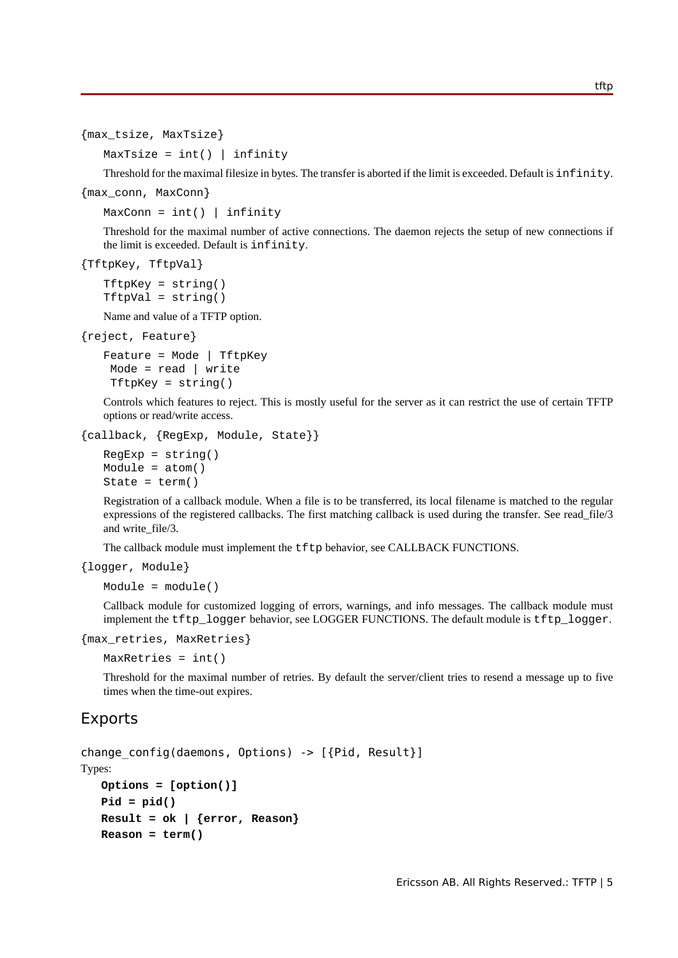tftp

```
{max_tsize, MaxTsize}
```
 $MaxTsize = int()$  infinity

Threshold for the maximal filesize in bytes. The transfer is aborted if the limit is exceeded. Default is infinity.

{max\_conn, MaxConn}

 $MaxConn = int()$  | infinity

Threshold for the maximal number of active connections. The daemon rejects the setup of new connections if the limit is exceeded. Default is infinity.

```
{TftpKey, TftpVal}
```
 $TftpKey = string()$ TftpVal = string()

Name and value of a TFTP option.

{reject, Feature}

```
Feature = Mode | TftpKey
 Mode = read | write
  TftpKey = string()
```
Controls which features to reject. This is mostly useful for the server as it can restrict the use of certain TFTP options or read/write access.

```
{callback, {RegExp, Module, State}}
```

```
RegExp = string()Module = atom()
State = term()
```
Registration of a callback module. When a file is to be transferred, its local filename is matched to the regular expressions of the registered callbacks. The first matching callback is used during the transfer. See read\_file/3 and write\_file/3.

The callback module must implement the tftp behavior, see CALLBACK FUNCTIONS.

```
{logger, Module}
```

```
Module = module()
```
Callback module for customized logging of errors, warnings, and info messages. The callback module must implement the tftp\_logger behavior, see LOGGER FUNCTIONS. The default module is tftp\_logger.

```
{max_retries, MaxRetries}
```
MaxRetries = int()

Threshold for the maximal number of retries. By default the server/client tries to resend a message up to five times when the time-out expires.

#### Exports

```
change config(daemons, Options) -> [{Pid, Result}]
```
Types:

```
Options = [option()]
Pid = pid()
Result = ok | {error, Reason}
Reason = term()
```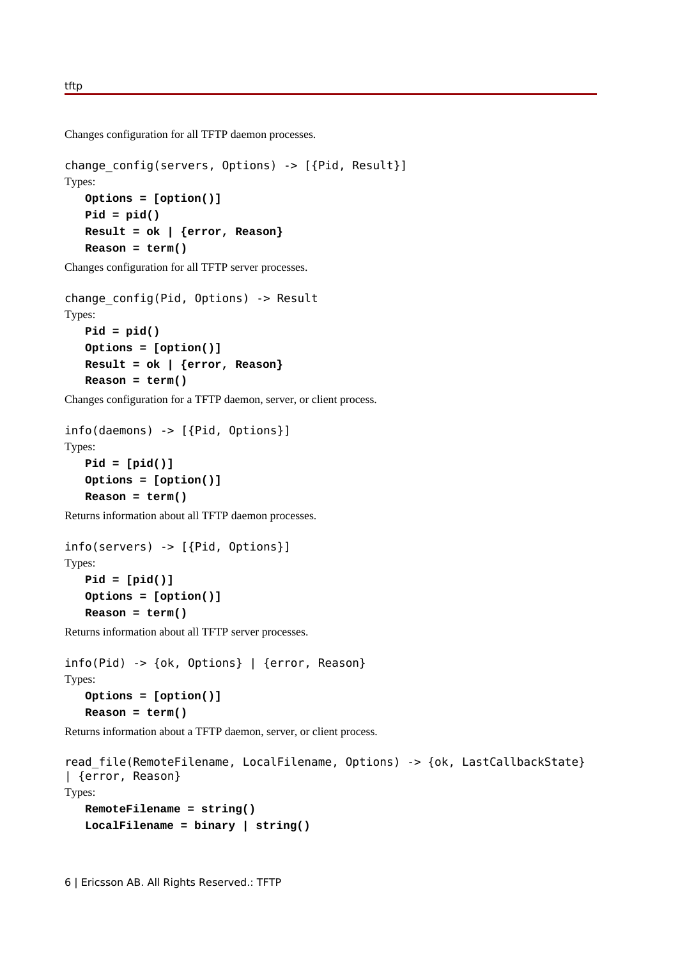Changes configuration for all TFTP daemon processes.

```
change config(servers, Options) -> [{Pid, Result}]
Types:
  Options = [option()]
   Pid = pid()
   Result = ok | {error, Reason}
   Reason = term()
```
Changes configuration for all TFTP server processes.

```
change config(Pid, Options) -> Result
Types:
   Pid = pid()
   Options = [option()]
   Result = ok | {error, Reason}
   Reason = term()
```
Changes configuration for a TFTP daemon, server, or client process.

```
info(daemons) -> [{Pid, Options}]
Types:
   Pid = [pid()]
   Options = [option()]
   Reason = term()
```
Returns information about all TFTP daemon processes.

```
info(servers) -> [{Pid, Options}]
Types:
   Pid = [pid()]
   Options = [option()]
   Reason = term()
```
Returns information about all TFTP server processes.

```
info(Pid) -> {ok, Options} | {error, Reason}
Types:
   Options = [option()]
   Reason = term()
```
Returns information about a TFTP daemon, server, or client process.

```
read file(RemoteFilename, LocalFilename, Options) -> {ok, LastCallbackState}
| {error, Reason}
Types:
   RemoteFilename = string()
   LocalFilename = binary | string()
```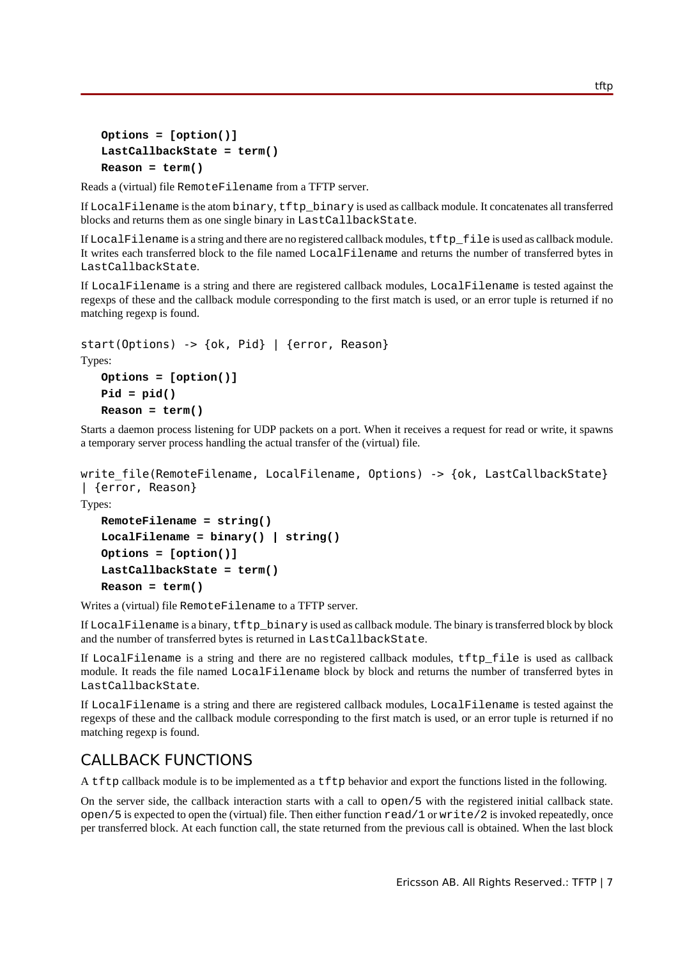```
Options = [option()]
LastCallbackState = term()
Reason = term()
```
Reads a (virtual) file RemoteFilename from a TFTP server.

If LocalFilename is the atom binary, tftp\_binary is used as callback module. It concatenates all transferred blocks and returns them as one single binary in LastCallbackState.

If LocalFilename is a string and there are no registered callback modules, tftp\_file is used as callback module. It writes each transferred block to the file named LocalFilename and returns the number of transferred bytes in LastCallbackState.

If LocalFilename is a string and there are registered callback modules, LocalFilename is tested against the regexps of these and the callback module corresponding to the first match is used, or an error tuple is returned if no matching regexp is found.

```
start(Options) -> {ok, Pid} | {error, Reason}
Types:
   Options = [option()]
   Pid = pid()
```

```
Reason = term()
```
Starts a daemon process listening for UDP packets on a port. When it receives a request for read or write, it spawns a temporary server process handling the actual transfer of the (virtual) file.

```
write file(RemoteFilename, LocalFilename, Options) -> {ok, LastCallbackState}
| {error, Reason}
```
Types:

```
RemoteFilename = string()
LocalFilename = binary() | string()
Options = [option()]
LastCallbackState = term()
Reason = term()
```
Writes a (virtual) file RemoteFilename to a TFTP server.

If LocalFilename is a binary, tftp\_binary is used as callback module. The binary is transferred block by block and the number of transferred bytes is returned in LastCallbackState.

If LocalFilename is a string and there are no registered callback modules, tftp\_file is used as callback module. It reads the file named LocalFilename block by block and returns the number of transferred bytes in LastCallbackState.

If LocalFilename is a string and there are registered callback modules, LocalFilename is tested against the regexps of these and the callback module corresponding to the first match is used, or an error tuple is returned if no matching regexp is found.

### CALLBACK FUNCTIONS

A tftp callback module is to be implemented as a tftp behavior and export the functions listed in the following.

On the server side, the callback interaction starts with a call to open/5 with the registered initial callback state.  $open/5$  is expected to open the (virtual) file. Then either function  $read/1$  or  $write/2$  is invoked repeatedly, once per transferred block. At each function call, the state returned from the previous call is obtained. When the last block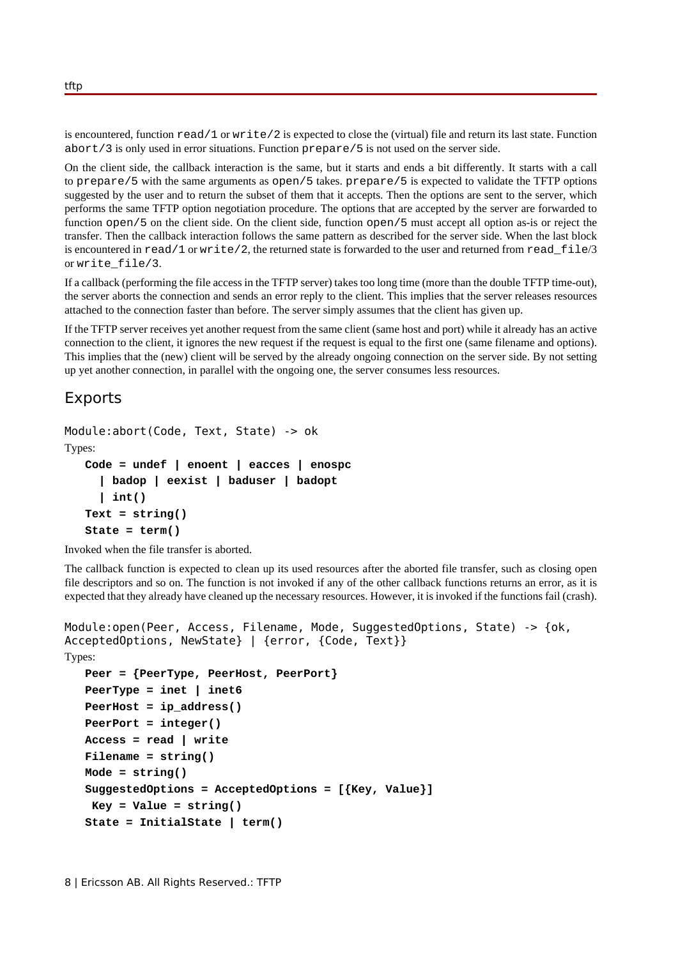is encountered, function  $\text{read}/1$  or  $\text{write}/2$  is expected to close the (virtual) file and return its last state. Function abort/3 is only used in error situations. Function prepare/5 is not used on the server side.

On the client side, the callback interaction is the same, but it starts and ends a bit differently. It starts with a call to prepare/5 with the same arguments as open/5 takes. prepare/5 is expected to validate the TFTP options suggested by the user and to return the subset of them that it accepts. Then the options are sent to the server, which performs the same TFTP option negotiation procedure. The options that are accepted by the server are forwarded to function open/5 on the client side. On the client side, function open/5 must accept all option as-is or reject the transfer. Then the callback interaction follows the same pattern as described for the server side. When the last block is encountered in read/1 or write/2, the returned state is forwarded to the user and returned from read\_file/3 or write\_file/3.

If a callback (performing the file access in the TFTP server) takes too long time (more than the double TFTP time-out), the server aborts the connection and sends an error reply to the client. This implies that the server releases resources attached to the connection faster than before. The server simply assumes that the client has given up.

If the TFTP server receives yet another request from the same client (same host and port) while it already has an active connection to the client, it ignores the new request if the request is equal to the first one (same filename and options). This implies that the (new) client will be served by the already ongoing connection on the server side. By not setting up yet another connection, in parallel with the ongoing one, the server consumes less resources.

### Exports

```
Module:abort(Code, Text, State) -> ok
Types:
   Code = undef | enoent | eacces | enospc
      | badop | eexist | baduser | badopt
      | int()
   Text = string()
   State = term()
```
Invoked when the file transfer is aborted.

The callback function is expected to clean up its used resources after the aborted file transfer, such as closing open file descriptors and so on. The function is not invoked if any of the other callback functions returns an error, as it is expected that they already have cleaned up the necessary resources. However, it is invoked if the functions fail (crash).

```
Module:open(Peer, Access, Filename, Mode, SuggestedOptions, State) -> {ok,
AcceptedOptions, NewState} | {error, {Code, Text}}
Types:
   Peer = {PeerType, PeerHost, PeerPort}
   PeerType = inet | inet6
   PeerHost = ip_address()
   PeerPort = integer()
   Access = read | write
   Filename = string()
   Mode = string()
   SuggestedOptions = AcceptedOptions = [{Key, Value}]
     Key = Value = string()
   State = InitialState | term()
```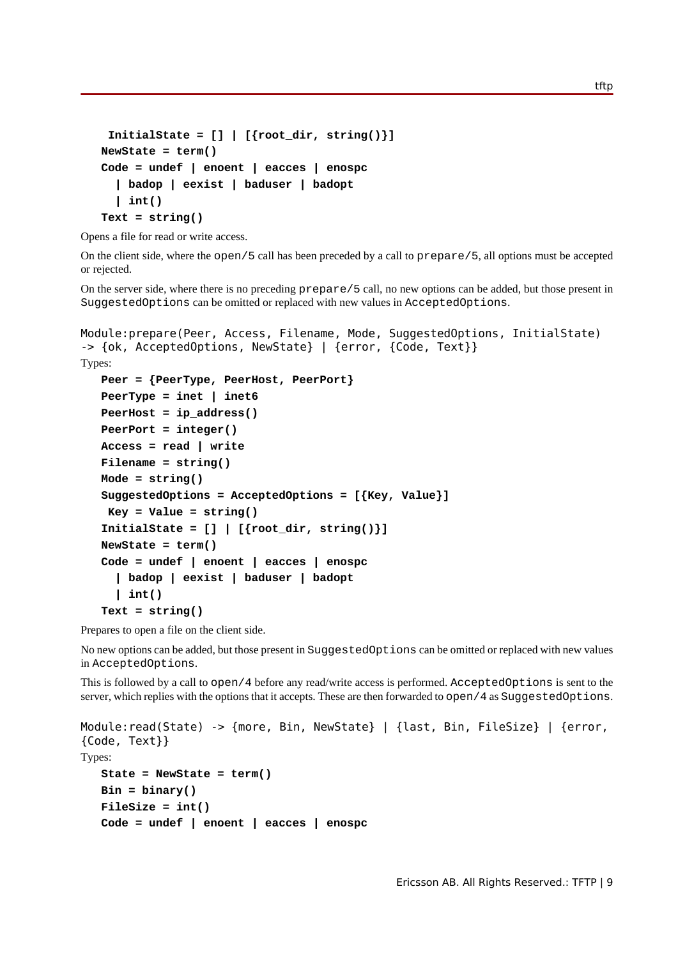```
 InitialState = [] | [{root_dir, string()}]
NewState = term()
Code = undef | enoent | eacces | enospc
   | badop | eexist | baduser | badopt
   | int()
Text = string()
```
Opens a file for read or write access.

On the client side, where the open/5 call has been preceded by a call to prepare/5, all options must be accepted or rejected.

On the server side, where there is no preceding prepare/5 call, no new options can be added, but those present in SuggestedOptions can be omitted or replaced with new values in AcceptedOptions.

```
Module:prepare(Peer, Access, Filename, Mode, SuggestedOptions, InitialState)
-> {ok, AcceptedOptions, NewState} | {error, {Code, Text}}
Types:
   Peer = {PeerType, PeerHost, PeerPort}
   PeerType = inet | inet6
   PeerHost = ip_address()
   PeerPort = integer()
   Access = read | write
   Filename = string()
   Mode = string()
   SuggestedOptions = AcceptedOptions = [{Key, Value}]
     Key = Value = string()
   InitialState = [] | [{root_dir, string()}]
   NewState = term()
   Code = undef | enoent | eacces | enospc
      | badop | eexist | baduser | badopt
      | int()
   Text = string()
```
Prepares to open a file on the client side.

No new options can be added, but those present in SuggestedOptions can be omitted or replaced with new values in AcceptedOptions.

This is followed by a call to open/4 before any read/write access is performed. AcceptedOptions is sent to the server, which replies with the options that it accepts. These are then forwarded to open/4 as SuggestedOptions.

```
Module:read(State) -> {more, Bin, NewState} | {last, Bin, FileSize} | {error,
{Code, Text}}
Types:
   State = NewState = term()
   Bin = binary()
   FileSize = int()
   Code = undef | enoent | eacces | enospc
```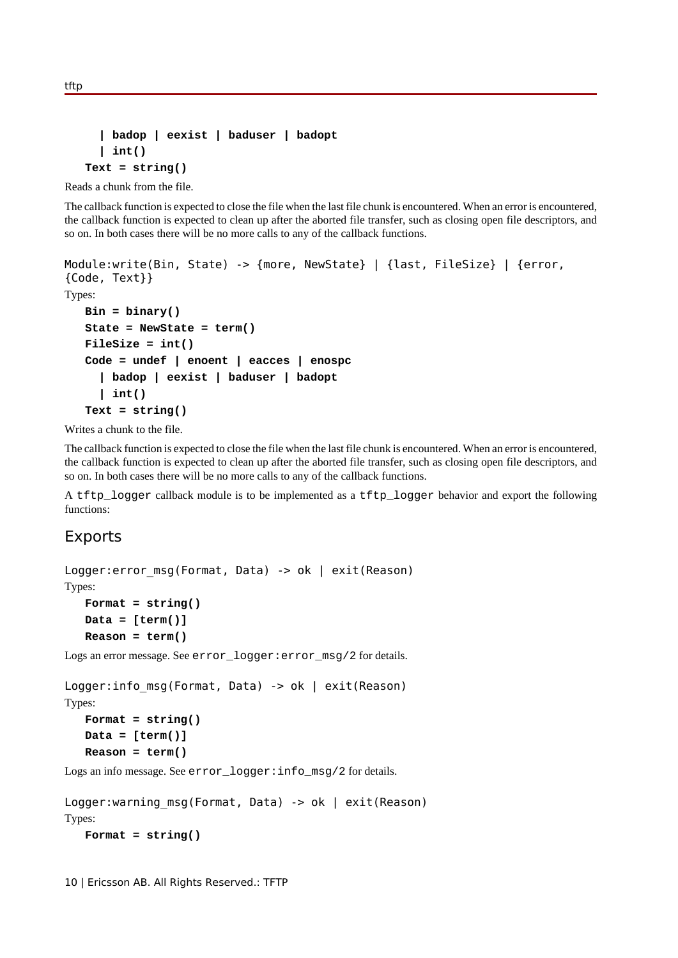```
 | badop | eexist | baduser | badopt
   | int()
Text = string()
```
Reads a chunk from the file.

The callback function is expected to close the file when the last file chunk is encountered. When an error is encountered, the callback function is expected to clean up after the aborted file transfer, such as closing open file descriptors, and so on. In both cases there will be no more calls to any of the callback functions.

```
Module:write(Bin, State) -> {more, NewState} | {last, FileSize} | {error,
{Code, Text}}
Types:
   Bin = binary()
   State = NewState = term()
   FileSize = int()
   Code = undef | enoent | eacces | enospc
      | badop | eexist | baduser | badopt
      | int()
   Text = string()
```
Writes a chunk to the file.

The callback function is expected to close the file when the last file chunk is encountered. When an error is encountered, the callback function is expected to clean up after the aborted file transfer, such as closing open file descriptors, and so on. In both cases there will be no more calls to any of the callback functions.

A tftp\_logger callback module is to be implemented as a tftp\_logger behavior and export the following functions:

### Exports

```
Logger: error msg(Format, Data) -> ok | exit(Reason)
Types:
   Format = string()
```

```
Data = [term()]
Reason = term()
```
Logs an error message. See error\_logger:error\_msg/2 for details.

```
Logger: info_msg(Format, Data) -> ok | exit(Reason)
Types:
   Format = string()
   Data = [term()]
```

```
Reason = term()
```
Logs an info message. See error\_logger:info\_msg/2 for details.

```
Logger:warning msg(Format, Data) -> ok | exit(Reason)
Types:
   Format = string()
```